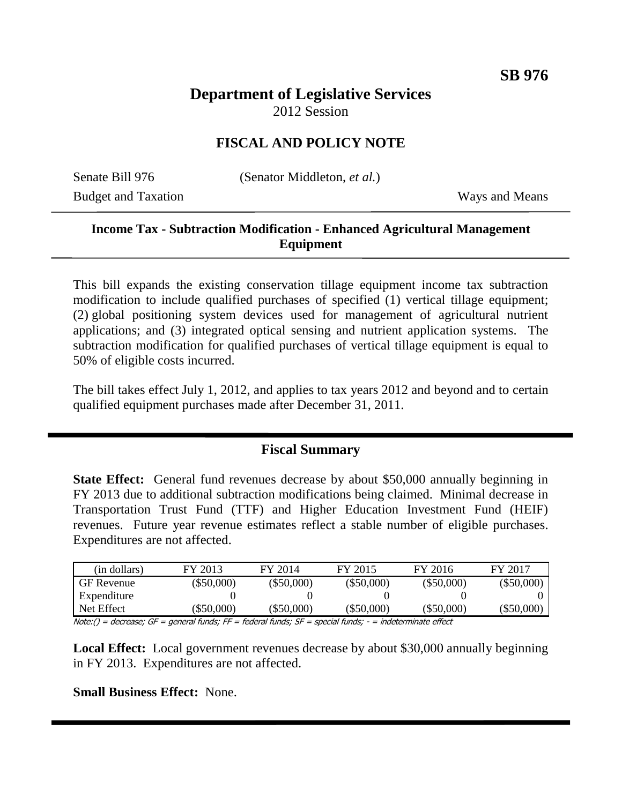# **Department of Legislative Services**

2012 Session

## **FISCAL AND POLICY NOTE**

Budget and Taxation Ways and Means

Senate Bill 976 (Senator Middleton, *et al.*)

### **Income Tax - Subtraction Modification - Enhanced Agricultural Management Equipment**

This bill expands the existing conservation tillage equipment income tax subtraction modification to include qualified purchases of specified (1) vertical tillage equipment; (2) global positioning system devices used for management of agricultural nutrient applications; and (3) integrated optical sensing and nutrient application systems. The subtraction modification for qualified purchases of vertical tillage equipment is equal to 50% of eligible costs incurred.

The bill takes effect July 1, 2012, and applies to tax years 2012 and beyond and to certain qualified equipment purchases made after December 31, 2011.

#### **Fiscal Summary**

**State Effect:** General fund revenues decrease by about \$50,000 annually beginning in FY 2013 due to additional subtraction modifications being claimed. Minimal decrease in Transportation Trust Fund (TTF) and Higher Education Investment Fund (HEIF) revenues. Future year revenue estimates reflect a stable number of eligible purchases. Expenditures are not affected.

| (in dollars) | FY 2013      | FY 2014      | FY 2015      | FY 2016      | FY 2017      |
|--------------|--------------|--------------|--------------|--------------|--------------|
| GF Revenue   | $(\$50,000)$ | $(\$50,000)$ | $(\$50,000)$ | $(\$50,000)$ | $(\$50,000)$ |
| Expenditure  |              |              |              |              |              |
| Net Effect   | \$50,000     | (\$50.000)   | (\$50.000)   | $(\$50,000)$ | (\$50,000)   |
| .            | $ -$<br>--   |              |              |              |              |

Note:() = decrease; GF = general funds; FF = federal funds; SF = special funds; - = indeterminate effect

**Local Effect:** Local government revenues decrease by about \$30,000 annually beginning in FY 2013. Expenditures are not affected.

#### **Small Business Effect:** None.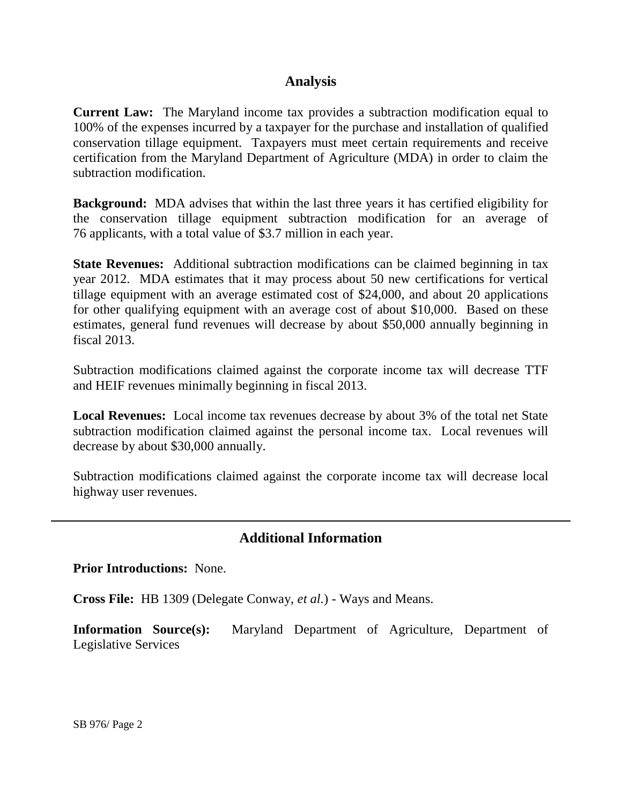#### **Analysis**

**Current Law:** The Maryland income tax provides a subtraction modification equal to 100% of the expenses incurred by a taxpayer for the purchase and installation of qualified conservation tillage equipment. Taxpayers must meet certain requirements and receive certification from the Maryland Department of Agriculture (MDA) in order to claim the subtraction modification.

**Background:** MDA advises that within the last three years it has certified eligibility for the conservation tillage equipment subtraction modification for an average of 76 applicants, with a total value of \$3.7 million in each year.

**State Revenues:** Additional subtraction modifications can be claimed beginning in tax year 2012. MDA estimates that it may process about 50 new certifications for vertical tillage equipment with an average estimated cost of \$24,000, and about 20 applications for other qualifying equipment with an average cost of about \$10,000. Based on these estimates, general fund revenues will decrease by about \$50,000 annually beginning in fiscal 2013.

Subtraction modifications claimed against the corporate income tax will decrease TTF and HEIF revenues minimally beginning in fiscal 2013.

**Local Revenues:** Local income tax revenues decrease by about 3% of the total net State subtraction modification claimed against the personal income tax. Local revenues will decrease by about \$30,000 annually.

Subtraction modifications claimed against the corporate income tax will decrease local highway user revenues.

#### **Additional Information**

**Prior Introductions:** None.

**Cross File:** HB 1309 (Delegate Conway, *et al.*) - Ways and Means.

**Information Source(s):** Maryland Department of Agriculture, Department of Legislative Services